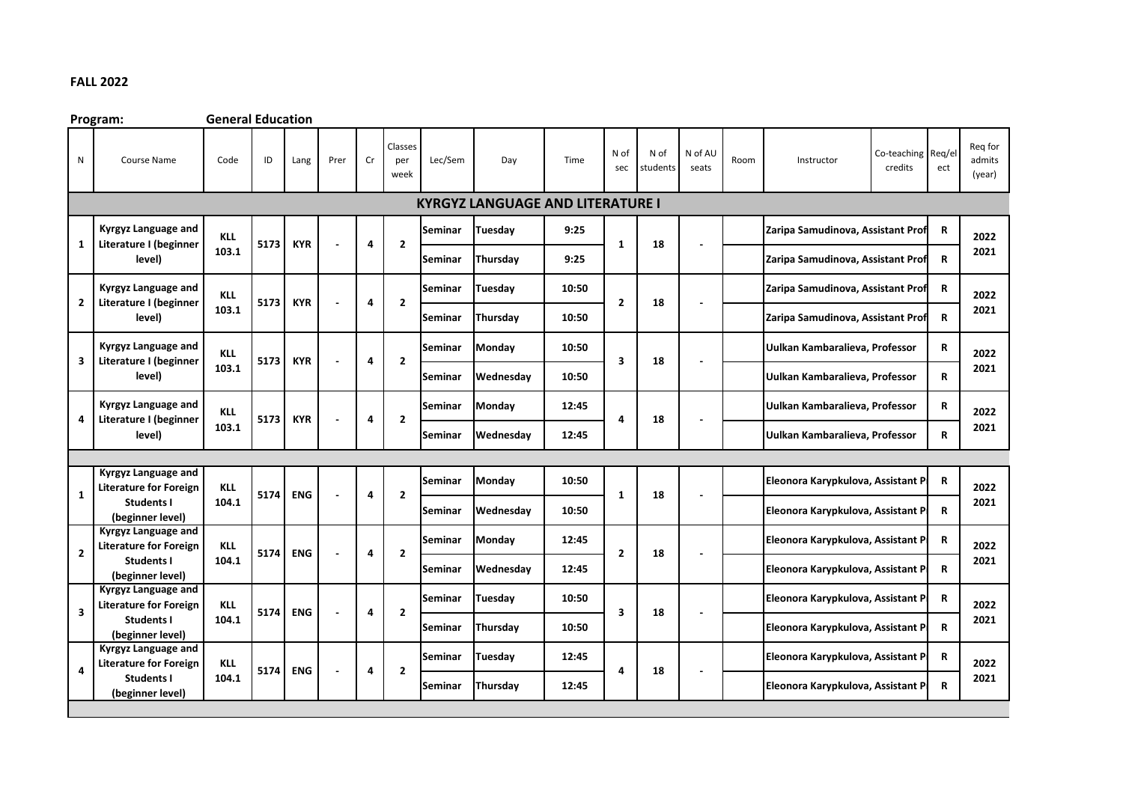## **FALL 2022**

**Program: General Education** N Course Name Code ID Lang Prer Cr Classes per week Lec/Sem Day Time N of sec N of students N of AU seats Room Instructor Co-teaching credits Req/el ect Req for admits (year) **Seminar Tuesday 9:25 Zaripa Samudinova, Assistant Professor R Seminar Thursday 9:25 Zaripa Samudinova, Assistant Professor R Seminar Tuesday 10:50 Zaripa Samudinova, Assistant Prof R**<br>**Z Zaripa Samudinova, Assistant Prof Seminar Thursday 10:50 Zaripa Samudinova, Assistant Professor R Seminar Monday 10:50 Uulkan Kambaralieva, Professor R Seminar Wednesday 10:50 Uulkan Kambaralieva, Professor R Seminar Monday 12:45 Uulkan Kambaralieva, Professor R Seminar Wednesday 12:45 Uulkan Kambaralieva, Professor R Seminar** Monday | 10:50 | | | | | | | Eleonora Karypkulova, Assistant P | R **Seminar Wednesday | 10:50** | | | | | | **Eleonora Karypkulova, Assistant P**R **Seminar Monday | 12:45 | | | | | | | | Eleonora Karypkulova, Assistant P | R Seminar** Wednesday | 12:45 | | | | | | | | Eleonora Karypkulova, Assistant P | R **Seminar** Tuesday | 10:50 | | | | | | Eleonora Karypkulova, Assistant P | R **Seminar Thursday | 10:50 | | | | | | | | Eleonora Karypkulova, Assistant P | R Seminar Tuesday 12:45 Eleonora Karypkulova, Assistant Professor R Seminar Thursday 12:45 Eleonora Karypkulova, Assistant P**R **2 1 18 - 2022 2021 1 Kyrgyz Language and Literature for Foreign Students I (beginner level) KLL 104.1 5174 ENG - 4 Kyrgyz Language and Literature I (beginner 4 5173 KYR - 4 2 4 18 level) KLL 103.1 2022 2021 4 2 2 3 Kyrgyz Language and Literature I (beginner level) KLL 103.1 5173 KYR - KYRGYZ LANGUAGE AND LITERATURE I 1 Kyrgyz Language and Literature I (beginner level) KLL 103.1 5173 KYR - - 4 4 2 Kyrgyz Language and Literature I (beginner level) KLL 103.1 5173 KYR 2 2 4 18 - 2022 2021 4 Kyrgyz Language and Literature for Foreign Students I (beginner level) KLL 104.1 5174 ENG - 4 2 3 18 - 2022 2021 3 Kyrgyz Language and Literature for Foreign Students I (beginner level) KLL 104.1 5174 ENG - 4 2 2 18 - 2022 2021 2 Kyrgyz Language and Literature for Foreign Students I (beginner level) KLL 104.1 5174 ENG - 4 - 2022 2021 2022 2021 2022 2021 1 18 2 18 - 3 18 -**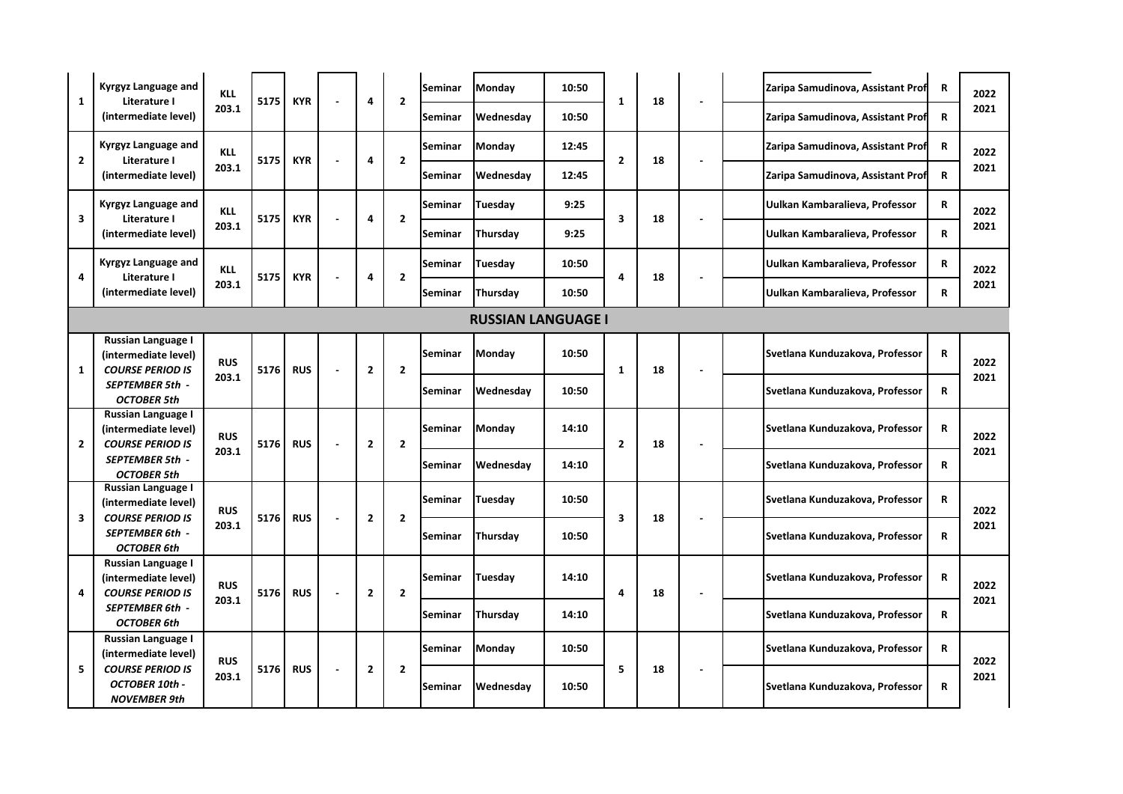| $\mathbf{1}$              | Kyrgyz Language and<br>Literature I<br>(intermediate level)                  | <b>KLL</b><br>203.1 | 5175 | <b>KYR</b> |                | 4                        | $\overline{2}$ | Seminar        | <b>Monday</b> | 10:50     | $\mathbf{1}$            | 18 |                | Zaripa Samudinova, Assistant Prof | $\mathbf R$                     | 2022         |
|---------------------------|------------------------------------------------------------------------------|---------------------|------|------------|----------------|--------------------------|----------------|----------------|---------------|-----------|-------------------------|----|----------------|-----------------------------------|---------------------------------|--------------|
|                           |                                                                              |                     |      |            |                |                          |                | Seminar        | Wednesday     | 10:50     |                         |    |                | Zaripa Samudinova, Assistant Prof | R                               | 2021         |
| $\overline{2}$            | Kyrgyz Language and<br>Literature I<br>(intermediate level)                  | <b>KLL</b>          | 5175 | <b>KYR</b> |                | 4                        | $\overline{2}$ | <b>Seminar</b> | <b>Monday</b> | 12:45     | $\overline{2}$          | 18 |                | Zaripa Samudinova, Assistant Prof | $\mathbf R$                     | 2022         |
|                           |                                                                              | 203.1               |      |            |                |                          |                | Seminar        | Wednesday     | 12:45     |                         |    |                | Zaripa Samudinova, Assistant Prof | $\mathbf R$                     | 2021         |
| 3                         | Kyrgyz Language and<br>Literature I                                          | <b>KLL</b><br>203.1 | 5175 | <b>KYR</b> |                | 4                        | $\overline{2}$ | Seminar        | Tuesday       | 9:25      | 3                       | 18 |                | Uulkan Kambaralieva, Professor    | $\mathbf R$                     | 2022         |
|                           | (intermediate level)                                                         |                     |      |            |                |                          |                | Seminar        | Thursday      | 9:25      |                         |    |                | Uulkan Kambaralieva, Professor    | R                               | 2021         |
| 4                         | Kyrgyz Language and<br>Literature I                                          | <b>KLL</b>          | 5175 | <b>KYR</b> | $\overline{a}$ | 4                        | $\overline{2}$ | Seminar        | Tuesdav       | 10:50     | 18<br>4                 |    |                | Uulkan Kambaralieva, Professor    | $\mathbf R$                     | 2022         |
|                           | 203.1<br>(intermediate level)                                                |                     |      |            |                |                          |                | Seminar        | Thursday      | 10:50     |                         |    |                | Uulkan Kambaralieva, Professor    | R                               | 2021         |
| <b>RUSSIAN LANGUAGE I</b> |                                                                              |                     |      |            |                |                          |                |                |               |           |                         |    |                |                                   |                                 |              |
| $\mathbf{1}$              | Russian Language I<br>(intermediate level)<br><b>COURSE PERIOD IS</b>        | <b>RUS</b>          | 5176 | <b>RUS</b> | $\overline{a}$ | $\mathbf{2}$             | $\overline{2}$ | Seminar        | Monday        | 10:50     | $\mathbf{1}$            | 18 |                | Svetlana Kunduzakova, Professor   | $\mathbf R$                     | 2022<br>2021 |
|                           | <b>SEPTEMBER 5th -</b><br><b>OCTOBER 5th</b>                                 | 203.1               |      |            |                |                          |                | Seminar        | Wednesday     | 10:50     |                         |    |                | Svetlana Kunduzakova, Professor   | $\mathbf R$                     |              |
| $\overline{2}$            | Russian Language I<br>(intermediate level)<br><b>COURSE PERIOD IS</b>        | <b>RUS</b>          | 5176 | <b>RUS</b> |                | $\mathbf{2}$             | $\overline{2}$ | <b>Seminar</b> | Monday        | 14:10     | $\overline{2}$          | 18 |                | Svetlana Kunduzakova, Professor   | $\mathbf R$                     | 2022         |
|                           | SEPTEMBER 5th -<br>OCTOBER 5th                                               | 203.1               |      |            |                |                          |                | Seminar        | Wednesday     | 14:10     |                         |    |                | Svetlana Kunduzakova, Professor   | $\mathbf R$                     | 2021         |
|                           | Russian Language I<br>(intermediate level)                                   | <b>RUS</b><br>203.1 | 5176 |            |                |                          |                | Seminar        | Tuesday       | 10:50     |                         | 18 |                | Svetlana Kunduzakova, Professor   | R                               | 2022         |
| 3                         | <b>COURSE PERIOD IS</b><br><b>SEPTEMBER 6th -</b><br><b>OCTOBER 6th</b>      |                     |      | <b>RUS</b> | $\overline{a}$ | $\overline{\mathbf{2}}$  | $\overline{2}$ | Seminar        | Thursday      | 10:50     | $\overline{\mathbf{3}}$ |    |                | Svetlana Kunduzakova, Professor   | $\mathbf R$                     | 2021         |
| 4                         | <b>Russian Language I</b><br>(intermediate level)<br><b>COURSE PERIOD IS</b> | <b>RUS</b>          | 5176 | <b>RUS</b> | $\overline{a}$ | $\overline{2}$           | $\overline{2}$ | Seminar        | Tuesday       | 14:10     | 4                       | 18 | $\blacksquare$ | Svetlana Kunduzakova, Professor   | $\mathbf R$                     | 2022         |
|                           | <b>SEPTEMBER 6th -</b><br><b>OCTOBER 6th</b>                                 | 203.1               |      |            |                |                          |                | Seminar        | Thursday      | 14:10     |                         |    |                | Svetlana Kunduzakova, Professor   | R                               | 2021         |
|                           | Russian Language I<br>(intermediate level)                                   |                     |      |            |                |                          |                | Seminar        | Monday        | 10:50     |                         |    |                | Svetlana Kunduzakova, Professor   | $\mathbf R$                     | 2022         |
| 5                         | <b>COURSE PERIOD IS</b><br>OCTOBER 10th -<br><b>NOVEMBER 9th</b>             | <b>RUS</b><br>203.1 |      | 5176       | <b>RUS</b>     | $\overline{\phantom{a}}$ | $\mathbf{2}$   | $\overline{2}$ | Seminar       | Wednesday | 10:50                   | 5  | 18             |                                   | Svetlana Kunduzakova, Professor | $\mathbf R$  |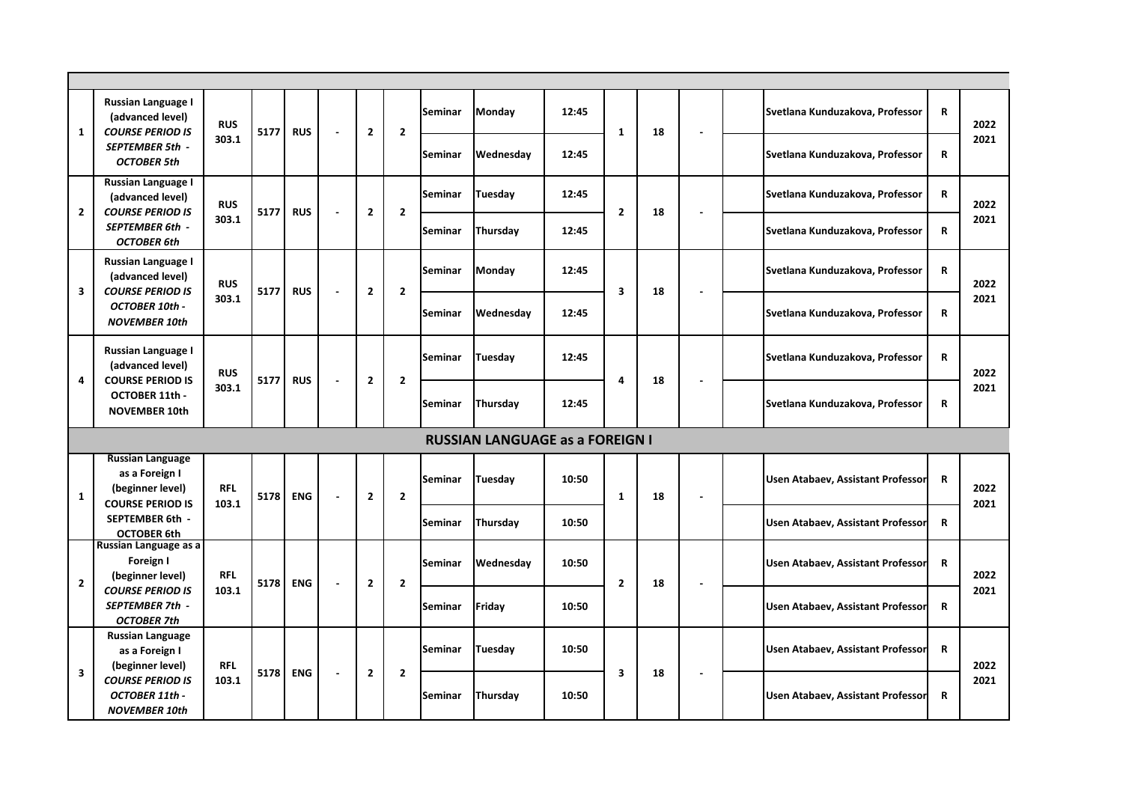| $\mathbf{1}$                           | Russian Language I<br>(advanced level)<br><b>COURSE PERIOD IS</b>                                           | <b>RUS</b>          | 5177 | <b>RUS</b> | $\overline{a}$           | $\mathbf{2}$   | $\overline{2}$ | Seminar        | <b>Monday</b>  | 12:45   | $\mathbf{1}$            | 18 |                          | Svetlana Kunduzakova, Professor          | $\mathbf R$                       | 2022         |      |
|----------------------------------------|-------------------------------------------------------------------------------------------------------------|---------------------|------|------------|--------------------------|----------------|----------------|----------------|----------------|---------|-------------------------|----|--------------------------|------------------------------------------|-----------------------------------|--------------|------|
|                                        | <b>SEPTEMBER 5th -</b><br><b>OCTOBER 5th</b>                                                                | 303.1               |      |            |                          |                |                | Seminar        | Wednesday      | 12:45   |                         |    |                          | Svetlana Kunduzakova, Professor          | $\mathbf R$                       | 2021         |      |
| $\mathbf{2}$                           | Russian Language I<br>(advanced level)<br><b>COURSE PERIOD IS</b>                                           | <b>RUS</b>          | 5177 | <b>RUS</b> | L,                       | $\overline{2}$ | $\overline{2}$ | Seminar        | Tuesday        | 12:45   | $\overline{2}$          | 18 |                          | Svetlana Kunduzakova, Professor          | $\mathbf R$                       | 2022<br>2021 |      |
|                                        | <b>SEPTEMBER 6th -</b><br><b>OCTOBER 6th</b>                                                                | 303.1               |      |            |                          |                |                | Seminar        | Thursday       | 12:45   |                         |    |                          | Svetlana Kunduzakova, Professor          | R                                 |              |      |
| 3                                      | Russian Language I<br>(advanced level)<br><b>COURSE PERIOD IS</b><br>OCTOBER 10th -<br><b>NOVEMBER 10th</b> | <b>RUS</b><br>303.1 | 5177 | <b>RUS</b> | $\overline{a}$           | $\mathbf{2}$   | $\overline{2}$ | <b>Seminar</b> | <b>Monday</b>  | 12:45   | $\overline{\mathbf{3}}$ | 18 |                          | Svetlana Kunduzakova, Professor          | $\mathbf R$                       | 2022         |      |
|                                        |                                                                                                             |                     |      |            |                          |                |                | Seminar        | Wednesday      | 12:45   |                         |    |                          | Svetlana Kunduzakova, Professor          | $\mathbf R$                       | 2021         |      |
|                                        | Russian Language I<br>(advanced level)<br><b>COURSE PERIOD IS</b><br>OCTOBER 11th -<br><b>NOVEMBER 10th</b> | <b>RUS</b><br>303.1 |      |            |                          | $\mathbf{2}$   | $\overline{2}$ | <b>Seminar</b> | Tuesday        | 12:45   | 4                       | 18 |                          | Svetlana Kunduzakova, Professor          | $\mathbf R$                       | 2022         |      |
| 4                                      |                                                                                                             |                     | 5177 | <b>RUS</b> | $\overline{\phantom{a}}$ |                |                | Seminar        | Thursday       | 12:45   |                         |    |                          | Svetlana Kunduzakova, Professor          | $\mathbf R$                       | 2021         |      |
| <b>RUSSIAN LANGUAGE as a FOREIGN I</b> |                                                                                                             |                     |      |            |                          |                |                |                |                |         |                         |    |                          |                                          |                                   |              |      |
| $\mathbf{1}$                           | <b>Russian Language</b><br>as a Foreign I<br>(beginner level)<br><b>COURSE PERIOD IS</b>                    | <b>RFL</b><br>103.1 | 5178 | <b>ENG</b> | J.                       | $\mathbf{2}$   | $\overline{2}$ | Seminar        | Tuesday        | 10:50   | $\mathbf{1}$            | 18 | $\overline{\phantom{a}}$ | Usen Atabaev, Assistant Professor        | $\mathbf R$                       | 2022<br>2021 |      |
|                                        | SEPTEMBER 6th -<br><b>OCTOBER 6th</b>                                                                       |                     |      |            |                          |                |                | <b>Seminar</b> | Thursday       | 10:50   |                         |    |                          | Usen Atabaev, Assistant Professor        | $\mathbf R$                       |              |      |
|                                        | Russian Language as a<br>Foreign I<br>(beginner level)                                                      | <b>RFL</b>          | 5178 |            |                          |                |                | <b>Seminar</b> | Wednesday      | 10:50   |                         |    |                          | Usen Atabaev, Assistant Professor        | $\mathbf R$                       | 2022         |      |
| $\overline{2}$                         | <b>COURSE PERIOD IS</b><br><b>SEPTEMBER 7th -</b><br><b>OCTOBER 7th</b>                                     | 103.1               |      | <b>ENG</b> | J.                       | $\mathbf{2}$   | $\overline{2}$ | <b>Seminar</b> | Friday         | 10:50   | $\overline{2}$          | 18 |                          | <b>Usen Atabaev, Assistant Professor</b> | $\mathbf R$                       | 2021         |      |
|                                        | <b>Russian Language</b><br>as a Foreign I<br>(beginner level)                                               | <b>RFL</b>          |      |            |                          |                |                |                | <b>Seminar</b> | Tuesday | 10:50                   |    |                          |                                          | Usen Atabaev, Assistant Professon | $\mathbf R$  | 2022 |
| $\overline{\mathbf{3}}$                | <b>COURSE PERIOD IS</b><br>OCTOBER 11th -<br><b>NOVEMBER 10th</b>                                           | 103.1               | 5178 | <b>ENG</b> | ÷,                       | $\mathbf{2}$   | $\overline{2}$ | <b>Seminar</b> | Thursday       | 10:50   | $\overline{\mathbf{3}}$ | 18 | $\blacksquare$           | Usen Atabaev, Assistant Professor        | $\mathbf R$                       | 2021         |      |